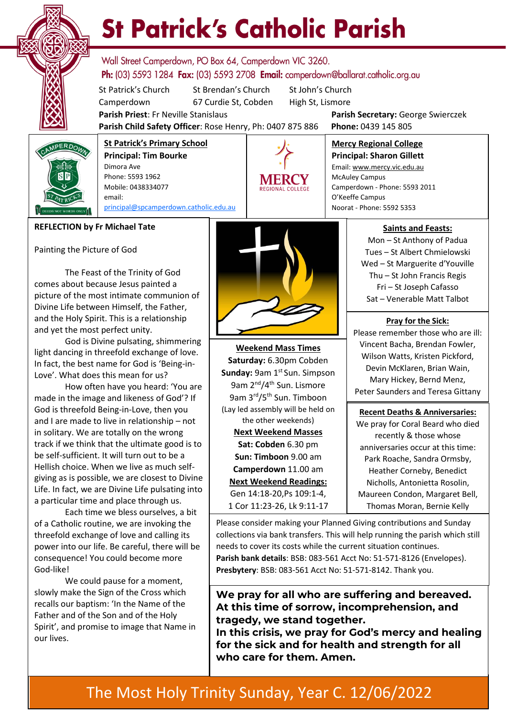

# **St Patrick's Catholic Parish**

Wall Street Camperdown, PO Box 64, Camperdown VIC 3260. **Ph:** (03) 5593 1284 **Fax:** (03) 5593 2708 **Email:** camperdown@ballarat.catholic.org.au

St Patrick's Church St Brendan's Church St John's Church Camperdown 67 Curdie St, Cobden High St, Lismore

**Parish Priest**: Fr Neville Stanislaus **Parish Secretary:** George Swierczek

**Parish Child Safety Officer**: Rose Henry, Ph: 0407 875 886 **Phone:** 0439 145 805



**St Patrick's Primary School Principal: Tim Bourke**  Dimora Ave Phone: 5593 1962 Mobile: 0438334077 email: [principal@spcamperdown.catholic.edu.au](mailto:principal@spcamperdown.catholic.edu.auu)



# **Mercy Regional College**

**Principal: Sharon Gillett** Email: www.mercy.vic.edu.au McAuley Campus Camperdown - Phone: 5593 2011 O'Keeffe Campus

Noorat - Phone: 5592 5353

### **REFLECTION by Fr Michael Tate**

Painting the Picture of God

The Feast of the Trinity of God comes about because Jesus painted a picture of the most intimate communion of Divine Life between Himself, the Father, and the Holy Spirit. This is a relationship and yet the most perfect unity.

God is Divine pulsating, shimmering light dancing in threefold exchange of love. In fact, the best name for God is 'Being-in-Love'. What does this mean for us?

be self-sufficient. It will turn out to be a . a particular time and place through us. How often have you heard: 'You are made in the image and likeness of God'? If God is threefold Being-in-Love, then you and I are made to live in relationship – not in solitary. We are totally on the wrong track if we think that the ultimate good is to Hellish choice. When we live as much selfgiving as is possible, we are closest to Divine Life. In fact, we are Divine Life pulsating into

Each time we bless ourselves, a bit of a Catholic routine, we are invoking the threefold exchange of love and calling its power into our life. Be careful, there will be consequence! You could become more God-like!

We could pause for a moment, slowly make the Sign of the Cross which recalls our baptism: 'In the Name of the Father and of the Son and of the Holy Spirit', and promise to image that Name in our lives.



**Weekend Mass Times Saturday:** 6.30pm Cobden **Sunday: 9am 1st Sun. Simpson** 9am 2<sup>nd</sup>/4<sup>th</sup> Sun. Lismore 9am 3rd/5th Sun. Timboon (Lay led assembly will be held on the other weekends) **Next Weekend Masses Sat: Cobden** 6.30 pm **Sun: Timboon** 9.00 am **Camperdown** 11.00 am **Next Weekend Readings:** Gen 14:18-20,Ps 109:1-4, 1 Cor 11:23-26, Lk 9:11-17

### **Saints and Feasts:**

Mon – St Anthony of Padua Tues – St Albert Chmielowski Wed – St Marguerite d'Youville Thu – St John Francis Regis Fri – St Joseph Cafasso Sat – Venerable Matt Talbot

### **Pray for the Sick:**

Please remember those who are ill: Vincent Bacha, Brendan Fowler, Wilson Watts, Kristen Pickford, Devin McKlaren, Brian Wain, Mary Hickey, Bernd Menz, Peter Saunders and Teresa Gittany

### **Recent Deaths & Anniversaries:**

We pray for Coral Beard who died recently & those whose anniversaries occur at this time: Park Roache, Sandra Ormsby, Heather Corneby, Benedict Nicholls, Antonietta Rosolin, Maureen Condon, Margaret Bell, Thomas Moran, Bernie Kelly

Please consider making your Planned Giving contributions and Sunday collections via bank transfers. This will help running the parish which still needs to cover its costs while the current situation continues. **Parish bank details**: BSB: 083-561 Acct No: 51-571-8126 (Envelopes). **Presbytery**: BSB: 083-561 Acct No: 51-571-8142. Thank you.

**We pray for all who are suffering and bereaved. At this time of sorrow, incomprehension, and tragedy, we stand together.**

**In this crisis, we pray for God's mercy and healing for the sick and for health and strength for all who care for them. Amen.**

### The Most Holy Trinity Sunday, Year C. 12/06/2022 **Sunday** 7.30 pm Camperdown  $\mathcal{P}$  and  $\mathcal{P}$  am (1st, 3rd ) Lismont and  $\mathcal{P}$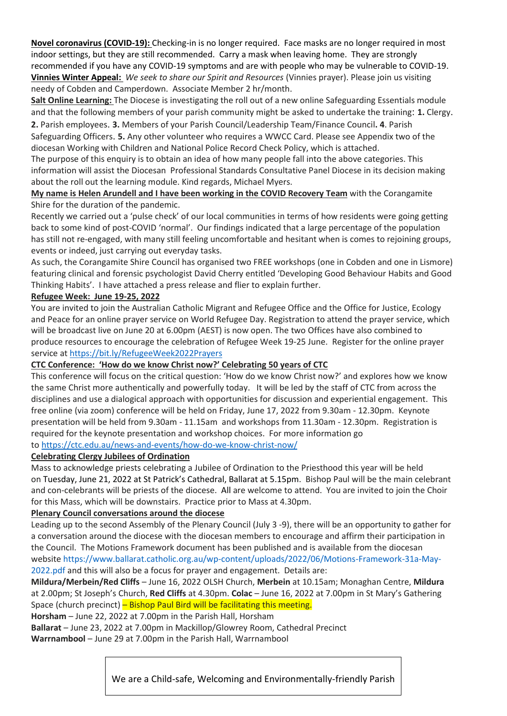**Novel coronavirus (COVID-19):** Checking-in is no longer required. Face masks are no longer required in most indoor settings, but they are still recommended. Carry a mask when leaving home. They are strongly recommended if you have any COVID-19 symptoms and are with people who may be vulnerable to COVID-19. **Vinnies Winter Appeal:** *We seek to share our Spirit and Resources* (Vinnies prayer). Please join us visiting needy of Cobden and Camperdown. Associate Member 2 hr/month.

**Salt Online Learning:** The Diocese is investigating the roll out of a new online Safeguarding Essentials module and that the following members of your parish community might be asked to undertake the training: **1.** Clergy.

**2.** Parish employees. **3.** Members of your Parish Council/Leadership Team/Finance Council**. 4**. Parish Safeguarding Officers. **5.** Any other volunteer who requires a WWCC Card. Please see Appendix two of the diocesan Working with Children and National Police Record Check Policy, which is attached.

The purpose of this enquiry is to obtain an idea of how many people fall into the above categories. This information will assist the Diocesan Professional Standards Consultative Panel Diocese in its decision making about the roll out the learning module. Kind regards, Michael Myers.

### **My name is Helen Arundell and I have been working in the COVID Recovery Team** with the Corangamite Shire for the duration of the pandemic.

Recently we carried out a 'pulse check' of our local communities in terms of how residents were going getting back to some kind of post-COVID 'normal'. Our findings indicated that a large percentage of the population has still not re-engaged, with many still feeling uncomfortable and hesitant when is comes to rejoining groups, events or indeed, just carrying out everyday tasks.

As such, the Corangamite Shire Council has organised two FREE workshops (one in Cobden and one in Lismore) featuring clinical and forensic psychologist David Cherry entitled 'Developing Good Behaviour Habits and Good Thinking Habits'. I have attached a press release and flier to explain further.

### **Refugee Week: June 19-25, 2022**

You are invited to join the Australian Catholic Migrant and Refugee Office and the Office for Justice, Ecology and Peace for an online prayer service on World Refugee Day. Registration to attend the prayer service, which will be broadcast live on June 20 at 6.00pm (AEST) is now open. The two Offices have also combined to produce resources to encourage the celebration of Refugee Week 19-25 June. Register for the online prayer service at <https://bit.ly/RefugeeWeek2022Prayers>

### **CTC Conference: 'How do we know Christ now?' Celebrating 50 years of CTC**

This conference will focus on the critical question: 'How do we know Christ now?' and explores how we know the same Christ more authentically and powerfully today. It will be led by the staff of CTC from across the disciplines and use a dialogical approach with opportunities for discussion and experiential engagement. This free online (via zoom) conference will be held on Friday, June 17, 2022 from 9.30am - 12.30pm. Keynote presentation will be held from 9.30am - 11.15am and workshops from 11.30am - 12.30pm. Registration is required for the keynote presentation and workshop choices. For more information go to <https://ctc.edu.au/news-and-events/how-do-we-know-christ-now/>

### **Celebrating Clergy Jubilees of Ordination**

Mass to acknowledge priests celebrating a Jubilee of Ordination to the Priesthood this year will be held on Tuesday, June 21, 2022 at St Patrick's Cathedral, Ballarat at 5.15pm. Bishop Paul will be the main celebrant and con-celebrants will be priests of the diocese. All are welcome to attend. You are invited to join the Choir for this Mass, which will be downstairs. Practice prior to Mass at 4.30pm.

### **Plenary Council conversations around the diocese**

Leading up to the second Assembly of the Plenary Council (July 3 -9), there will be an opportunity to gather for a conversation around the diocese with the diocesan members to encourage and affirm their participation in the Council. The Motions Framework document has been published and is available from the diocesan website [https://www.ballarat.catholic.org.au/wp-content/uploads/2022/06/Motions-Framework-31a-May-](https://www.ballarat.catholic.org.au/wp-content/uploads/2022/06/Motions-Framework-31a-May-2022.pdf)[2022.pdf](https://www.ballarat.catholic.org.au/wp-content/uploads/2022/06/Motions-Framework-31a-May-2022.pdf) and this will also be a focus for prayer and engagement. Details are:

**Mildura/Merbein/Red Cliffs** – June 16, 2022 OLSH Church, **Merbein** at 10.15am; Monaghan Centre, **Mildura** at 2.00pm; St Joseph's Church, **Red Cliffs** at 4.30pm. **Colac** – June 16, 2022 at 7.00pm in St Mary's Gathering Space (church precinct)  $-$  Bishop Paul Bird will be facilitating this meeting.

**Horsham** – June 22, 2022 at 7.00pm in the Parish Hall, Horsham

**Ballarat** – June 23, 2022 at 7.00pm in Mackillop/Glowrey Room, Cathedral Precinct

**Warrnambool** – June 29 at 7.00pm in the Parish Hall, Warrnambool

We are a Child-safe, Welcoming and Environmentally-friendly Parish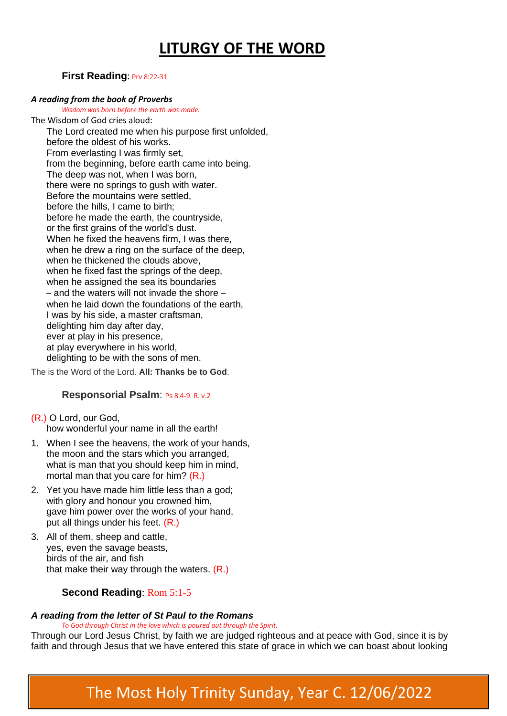### **LITURGY OF THE WORD**

### **First Reading: Prv 8:22-31**

### *A reading from the book of Proverbs*

*Wisdom was born before the earth was made.* The Wisdom of God cries aloud: The Lord created me when his purpose first unfolded, before the oldest of his works. From everlasting I was firmly set, from the beginning, before earth came into being. The deep was not, when I was born, there were no springs to gush with water. Before the mountains were settled, before the hills, I came to birth; before he made the earth, the countryside, or the first grains of the world's dust. When he fixed the heavens firm, I was there, when he drew a ring on the surface of the deep, when he thickened the clouds above, when he fixed fast the springs of the deep, when he assigned the sea its boundaries – and the waters will not invade the shore – when he laid down the foundations of the earth, I was by his side, a master craftsman, delighting him day after day, ever at play in his presence, at play everywhere in his world, delighting to be with the sons of men.

The is the Word of the Lord. **All: Thanks be to God**.

### **Responsorial Psalm**: Ps 8:4-9. R. v.2

(R.) O Lord, our God, how wonderful your name in all the earth!

- 1. When I see the heavens, the work of your hands, the moon and the stars which you arranged, what is man that you should keep him in mind, mortal man that you care for him? (R.)
- 2. Yet you have made him little less than a god; with glory and honour you crowned him, gave him power over the works of your hand, put all things under his feet. (R.)
- 3. All of them, sheep and cattle, yes, even the savage beasts, birds of the air, and fish that make their way through the waters. (R.)

### **Second Reading**: Rom 5:1-5

### *A reading from the letter of St Paul to the Romans*

*To God through Christ in the love which is poured out through the Spirit.*

Through our Lord Jesus Christ, by faith we are judged righteous and at peace with God, since it is by faith and through Jesus that we have entered this state of grace in which we can boast about looking

## The Most Holy Trinity Sunday, Year C. 12/06/2022